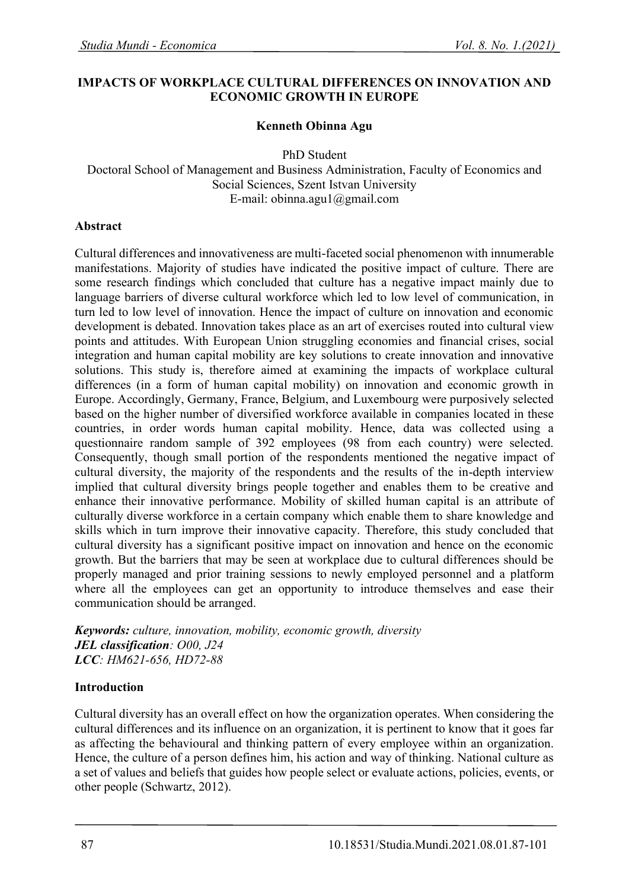### **IMPACTS OF WORKPLACE CULTURAL DIFFERENCES ON INNOVATION AND ECONOMIC GROWTH IN EUROPE**

### **Kenneth Obinna Agu**

PhD Student

Doctoral School of Management and Business Administration, Faculty of Economics and Social Sciences, Szent Istvan University E-mail: obinna.agu1@gmail.com

#### **Abstract**

Cultural differences and innovativeness are multi-faceted social phenomenon with innumerable manifestations. Majority of studies have indicated the positive impact of culture. There are some research findings which concluded that culture has a negative impact mainly due to language barriers of diverse cultural workforce which led to low level of communication, in turn led to low level of innovation. Hence the impact of culture on innovation and economic development is debated. Innovation takes place as an art of exercises routed into cultural view points and attitudes. With European Union struggling economies and financial crises, social integration and human capital mobility are key solutions to create innovation and innovative solutions. This study is, therefore aimed at examining the impacts of workplace cultural differences (in a form of human capital mobility) on innovation and economic growth in Europe. Accordingly, Germany, France, Belgium, and Luxembourg were purposively selected based on the higher number of diversified workforce available in companies located in these countries, in order words human capital mobility. Hence, data was collected using a questionnaire random sample of 392 employees (98 from each country) were selected. Consequently, though small portion of the respondents mentioned the negative impact of cultural diversity, the majority of the respondents and the results of the in-depth interview implied that cultural diversity brings people together and enables them to be creative and enhance their innovative performance. Mobility of skilled human capital is an attribute of culturally diverse workforce in a certain company which enable them to share knowledge and skills which in turn improve their innovative capacity. Therefore, this study concluded that cultural diversity has a significant positive impact on innovation and hence on the economic growth. But the barriers that may be seen at workplace due to cultural differences should be properly managed and prior training sessions to newly employed personnel and a platform where all the employees can get an opportunity to introduce themselves and ease their communication should be arranged.

*Keywords: culture, innovation, mobility, economic growth, diversity JEL classification: O00, J24 LCC: HM621-656, HD72-88*

#### **Introduction**

Cultural diversity has an overall effect on how the organization operates. When considering the cultural differences and its influence on an organization, it is pertinent to know that it goes far as affecting the behavioural and thinking pattern of every employee within an organization. Hence, the culture of a person defines him, his action and way of thinking. National culture as a set of values and beliefs that guides how people select or evaluate actions, policies, events, or other people (Schwartz, 2012).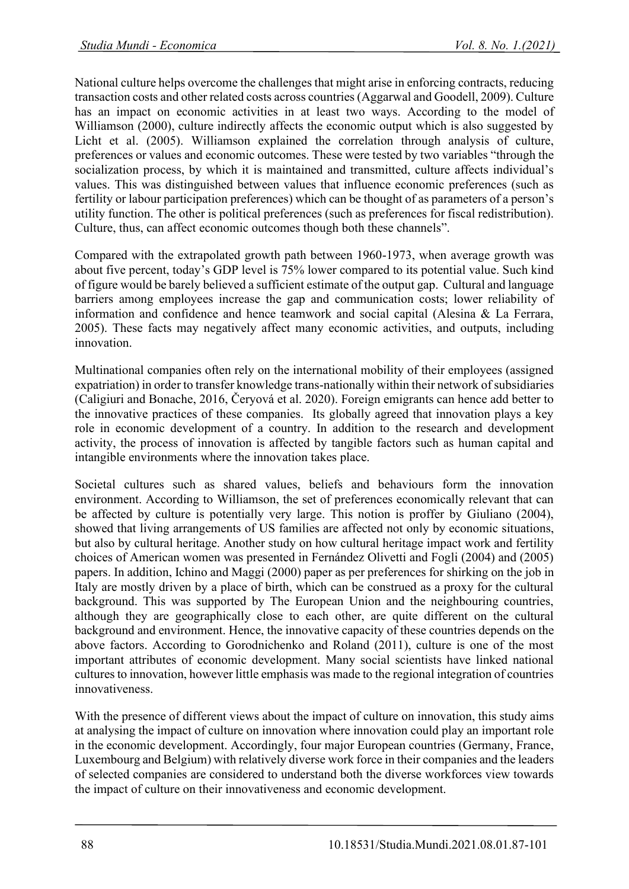National culture helps overcome the challenges that might arise in enforcing contracts, reducing transaction costs and other related costs across countries (Aggarwal and Goodell, 2009). Culture has an impact on economic activities in at least two ways. According to the model of Williamson (2000), culture indirectly affects the economic output which is also suggested by Licht et al. (2005). Williamson explained the correlation through analysis of culture, preferences or values and economic outcomes. These were tested by two variables "through the socialization process, by which it is maintained and transmitted, culture affects individual's values. This was distinguished between values that influence economic preferences (such as fertility or labour participation preferences) which can be thought of as parameters of a person's utility function. The other is political preferences (such as preferences for fiscal redistribution). Culture, thus, can affect economic outcomes though both these channels".

Compared with the extrapolated growth path between 1960-1973, when average growth was about five percent, today's GDP level is 75% lower compared to its potential value. Such kind of figure would be barely believed a sufficient estimate of the output gap. Cultural and language barriers among employees increase the gap and communication costs; lower reliability of information and confidence and hence teamwork and social capital (Alesina & La Ferrara, 2005). These facts may negatively affect many economic activities, and outputs, including innovation.

Multinational companies often rely on the international mobility of their employees (assigned expatriation) in order to transfer knowledge trans-nationally within their network of subsidiaries (Caligiuri and Bonache, 2016, Čeryová et al. 2020). Foreign emigrants can hence add better to the innovative practices of these companies. Its globally agreed that innovation plays a key role in economic development of a country. In addition to the research and development activity, the process of innovation is affected by tangible factors such as human capital and intangible environments where the innovation takes place.

Societal cultures such as shared values, beliefs and behaviours form the innovation environment. According to Williamson, the set of preferences economically relevant that can be affected by culture is potentially very large. This notion is proffer by Giuliano (2004), showed that living arrangements of US families are affected not only by economic situations, but also by cultural heritage. Another study on how cultural heritage impact work and fertility choices of American women was presented in Fernández Olivetti and Fogli (2004) and (2005) papers. In addition, Ichino and Maggi (2000) paper as per preferences for shirking on the job in Italy are mostly driven by a place of birth, which can be construed as a proxy for the cultural background. This was supported by The European Union and the neighbouring countries, although they are geographically close to each other, are quite different on the cultural background and environment. Hence, the innovative capacity of these countries depends on the above factors. According to Gorodnichenko and Roland (2011), culture is one of the most important attributes of economic development. Many social scientists have linked national cultures to innovation, however little emphasis was made to the regional integration of countries innovativeness.

With the presence of different views about the impact of culture on innovation, this study aims at analysing the impact of culture on innovation where innovation could play an important role in the economic development. Accordingly, four major European countries (Germany, France, Luxembourg and Belgium) with relatively diverse work force in their companies and the leaders of selected companies are considered to understand both the diverse workforces view towards the impact of culture on their innovativeness and economic development.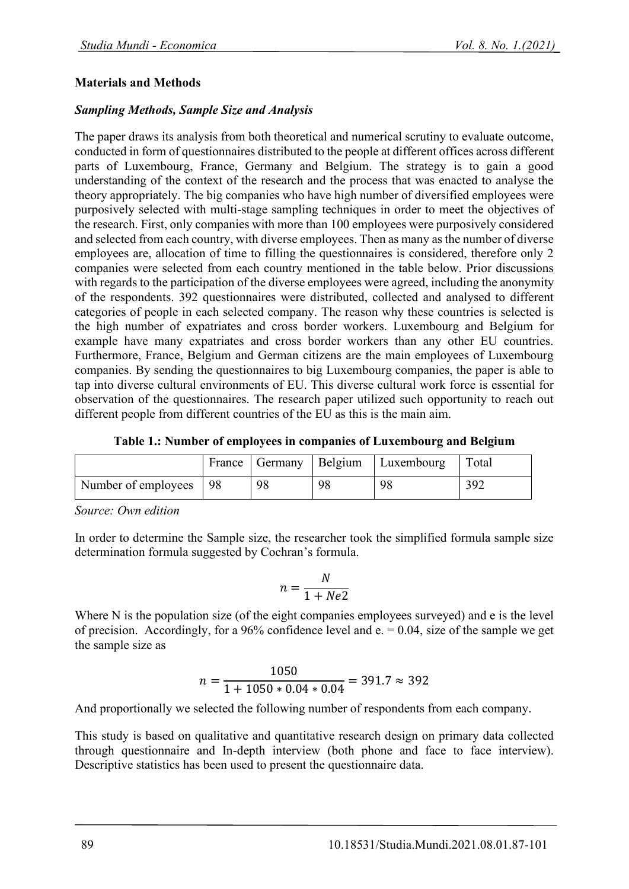### **Materials and Methods**

### *Sampling Methods, Sample Size and Analysis*

The paper draws its analysis from both theoretical and numerical scrutiny to evaluate outcome, conducted in form of questionnaires distributed to the people at different offices across different parts of Luxembourg, France, Germany and Belgium. The strategy is to gain a good understanding of the context of the research and the process that was enacted to analyse the theory appropriately. The big companies who have high number of diversified employees were purposively selected with multi-stage sampling techniques in order to meet the objectives of the research. First, only companies with more than 100 employees were purposively considered and selected from each country, with diverse employees. Then as many as the number of diverse employees are, allocation of time to filling the questionnaires is considered, therefore only 2 companies were selected from each country mentioned in the table below. Prior discussions with regards to the participation of the diverse employees were agreed, including the anonymity of the respondents. 392 questionnaires were distributed, collected and analysed to different categories of people in each selected company. The reason why these countries is selected is the high number of expatriates and cross border workers. Luxembourg and Belgium for example have many expatriates and cross border workers than any other EU countries. Furthermore, France, Belgium and German citizens are the main employees of Luxembourg companies. By sending the questionnaires to big Luxembourg companies, the paper is able to tap into diverse cultural environments of EU. This diverse cultural work force is essential for observation of the questionnaires. The research paper utilized such opportunity to reach out different people from different countries of the EU as this is the main aim.

**Table 1.: Number of employees in companies of Luxembourg and Belgium**

|                        |    |    | France   Germany   Belgium   Luxembourg | Total |
|------------------------|----|----|-----------------------------------------|-------|
| Number of employees 98 | 98 | 98 | 98                                      |       |

*Source: Own edition*

In order to determine the Sample size, the researcher took the simplified formula sample size determination formula suggested by Cochran's formula.

$$
n = \frac{N}{1 + Ne2}
$$

Where N is the population size (of the eight companies employees surveyed) and e is the level of precision. Accordingly, for a 96% confidence level and  $e = 0.04$ , size of the sample we get the sample size as

$$
n = \frac{1050}{1 + 1050 * 0.04 * 0.04} = 391.7 \approx 392
$$

And proportionally we selected the following number of respondents from each company.

This study is based on qualitative and quantitative research design on primary data collected through questionnaire and In-depth interview (both phone and face to face interview). Descriptive statistics has been used to present the questionnaire data.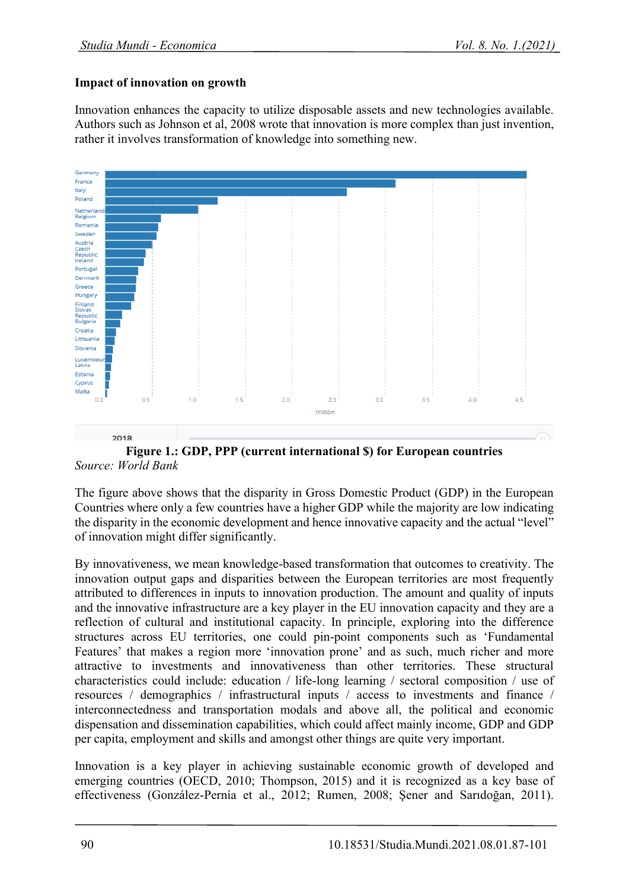# **Impact of innovation on growth**

Innovation enhances the capacity to utilize disposable assets and new technologies available. Authors such as Johnson et al, 2008 wrote that innovation is more complex than just invention, rather it involves transformation of knowledge into something new.



**Figure 1.: GDP, PPP (current international \$) for European countries** *Source: World Bank*

The figure above shows that the disparity in Gross Domestic Product (GDP) in the European Countries where only a few countries have a higher GDP while the majority are low indicating the disparity in the economic development and hence innovative capacity and the actual "level" of innovation might differ significantly.

By innovativeness, we mean knowledge-based transformation that outcomes to creativity. The innovation output gaps and disparities between the European territories are most frequently attributed to differences in inputs to innovation production. The amount and quality of inputs and the innovative infrastructure are a key player in the EU innovation capacity and they are a reflection of cultural and institutional capacity. In principle, exploring into the difference structures across EU territories, one could pin-point components such as 'Fundamental Features' that makes a region more 'innovation prone' and as such, much richer and more attractive to investments and innovativeness than other territories. These structural characteristics could include: education / life-long learning / sectoral composition / use of resources / demographics / infrastructural inputs / access to investments and finance / interconnectedness and transportation modals and above all, the political and economic dispensation and dissemination capabilities, which could affect mainly income, GDP and GDP per capita, employment and skills and amongst other things are quite very important.

Innovation is a key player in achieving sustainable economic growth of developed and emerging countries (OECD, 2010; Thompson, 2015) and it is recognized as a key base of effectiveness (González-Pernía et al., 2012; Rumen, 2008; Şener and Sarıdoğan, 2011).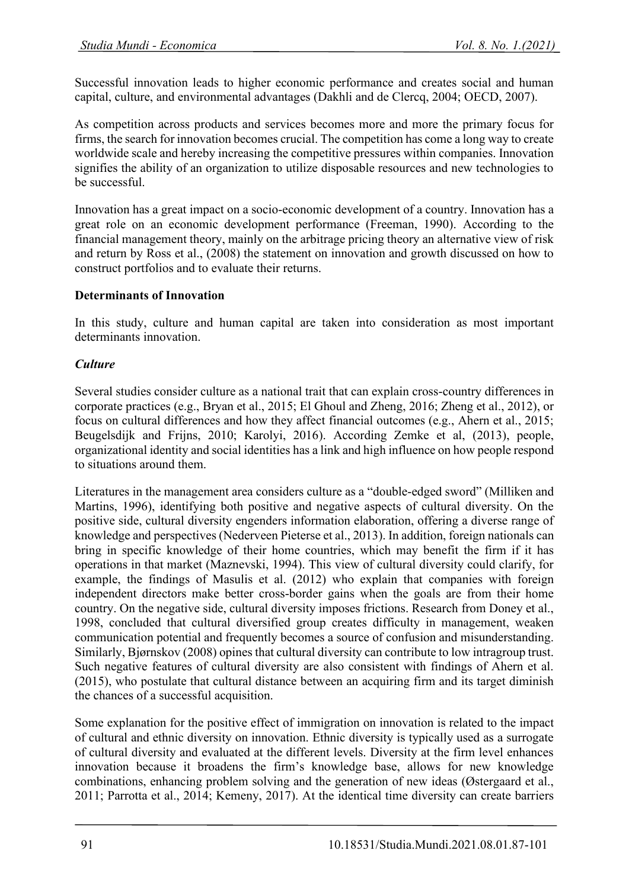Successful innovation leads to higher economic performance and creates social and human capital, culture, and environmental advantages (Dakhli and de Clercq, 2004; OECD, 2007).

As competition across products and services becomes more and more the primary focus for firms, the search for innovation becomes crucial. The competition has come a long way to create worldwide scale and hereby increasing the competitive pressures within companies. Innovation signifies the ability of an organization to utilize disposable resources and new technologies to be successful.

Innovation has a great impact on a socio-economic development of a country. Innovation has a great role on an economic development performance (Freeman, 1990). According to the financial management theory, mainly on the arbitrage pricing theory an alternative view of risk and return by Ross et al., (2008) the statement on innovation and growth discussed on how to construct portfolios and to evaluate their returns.

# **Determinants of Innovation**

In this study, culture and human capital are taken into consideration as most important determinants innovation.

## *Culture*

Several studies consider culture as a national trait that can explain cross-country differences in corporate practices (e.g., Bryan et al., 2015; El Ghoul and Zheng, 2016; Zheng et al., 2012), or focus on cultural differences and how they affect financial outcomes (e.g., Ahern et al., 2015; Beugelsdijk and Frijns, 2010; Karolyi, 2016). According Zemke et al, (2013), people, organizational identity and social identities has a link and high influence on how people respond to situations around them.

Literatures in the management area considers culture as a "double-edged sword" (Milliken and Martins, 1996), identifying both positive and negative aspects of cultural diversity. On the positive side, cultural diversity engenders information elaboration, offering a diverse range of knowledge and perspectives (Nederveen Pieterse et al., 2013). In addition, foreign nationals can bring in specific knowledge of their home countries, which may benefit the firm if it has operations in that market (Maznevski, 1994). This view of cultural diversity could clarify, for example, the findings of Masulis et al. (2012) who explain that companies with foreign independent directors make better cross-border gains when the goals are from their home country. On the negative side, cultural diversity imposes frictions. Research from Doney et al., 1998, concluded that cultural diversified group creates difficulty in management, weaken communication potential and frequently becomes a source of confusion and misunderstanding. Similarly, Bjørnskov (2008) opines that cultural diversity can contribute to low intragroup trust. Such negative features of cultural diversity are also consistent with findings of Ahern et al. (2015), who postulate that cultural distance between an acquiring firm and its target diminish the chances of a successful acquisition.

Some explanation for the positive effect of immigration on innovation is related to the impact of cultural and ethnic diversity on innovation. Ethnic diversity is typically used as a surrogate of cultural diversity and evaluated at the different levels. Diversity at the firm level enhances innovation because it broadens the firm's knowledge base, allows for new knowledge combinations, enhancing problem solving and the generation of new ideas (Østergaard et al., 2011; Parrotta et al., 2014; Kemeny, 2017). At the identical time diversity can create barriers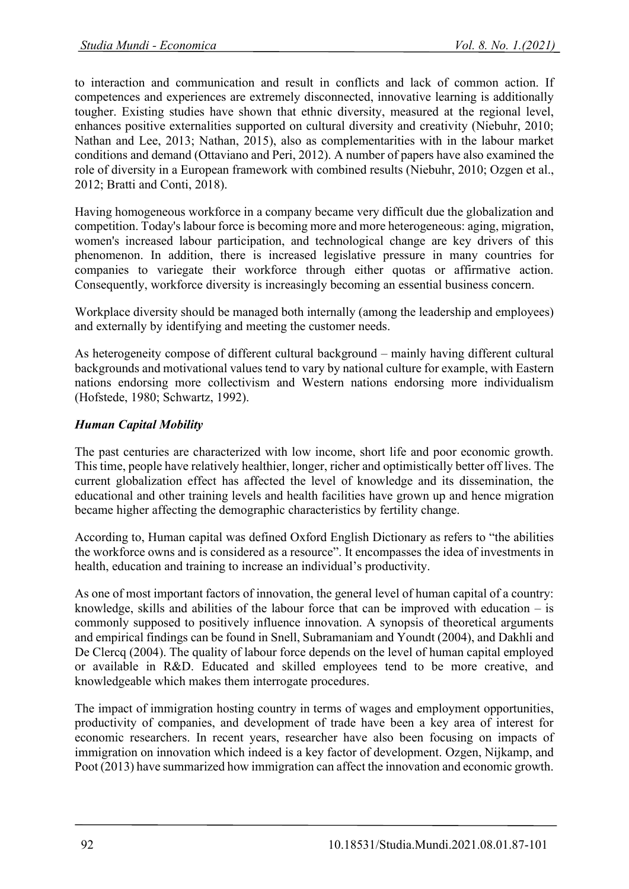to interaction and communication and result in conflicts and lack of common action. If competences and experiences are extremely disconnected, innovative learning is additionally tougher. Existing studies have shown that ethnic diversity, measured at the regional level, enhances positive externalities supported on cultural diversity and creativity (Niebuhr, 2010; Nathan and Lee, 2013; Nathan, 2015), also as complementarities with in the labour market conditions and demand (Ottaviano and Peri, 2012). A number of papers have also examined the role of diversity in a European framework with combined results (Niebuhr, 2010; Ozgen et al., 2012; Bratti and Conti, 2018).

Having homogeneous workforce in a company became very difficult due the globalization and competition. Today's labour force is becoming more and more heterogeneous: aging, migration, women's increased labour participation, and technological change are key drivers of this phenomenon. In addition, there is increased legislative pressure in many countries for companies to variegate their workforce through either quotas or affirmative action. Consequently, workforce diversity is increasingly becoming an essential business concern.

Workplace diversity should be managed both internally (among the leadership and employees) and externally by identifying and meeting the customer needs.

As heterogeneity compose of different cultural background – mainly having different cultural backgrounds and motivational values tend to vary by national culture for example, with Eastern nations endorsing more collectivism and Western nations endorsing more individualism (Hofstede, 1980; Schwartz, 1992).

# *Human Capital Mobility*

The past centuries are characterized with low income, short life and poor economic growth. This time, people have relatively healthier, longer, richer and optimistically better off lives. The current globalization effect has affected the level of knowledge and its dissemination, the educational and other training levels and health facilities have grown up and hence migration became higher affecting the demographic characteristics by fertility change.

According to, Human capital was defined Oxford English Dictionary as refers to "the abilities the workforce owns and is considered as a resource". It encompasses the idea of investments in health, education and training to increase an individual's productivity.

As one of most important factors of innovation, the general level of human capital of a country: knowledge, skills and abilities of the labour force that can be improved with education  $-$  is commonly supposed to positively influence innovation. A synopsis of theoretical arguments and empirical findings can be found in Snell, Subramaniam and Youndt (2004), and Dakhli and De Clercq (2004). The quality of labour force depends on the level of human capital employed or available in R&D. Educated and skilled employees tend to be more creative, and knowledgeable which makes them interrogate procedures.

The impact of immigration hosting country in terms of wages and employment opportunities, productivity of companies, and development of trade have been a key area of interest for economic researchers. In recent years, researcher have also been focusing on impacts of immigration on innovation which indeed is a key factor of development. Ozgen, Nijkamp, and Poot (2013) have summarized how immigration can affect the innovation and economic growth.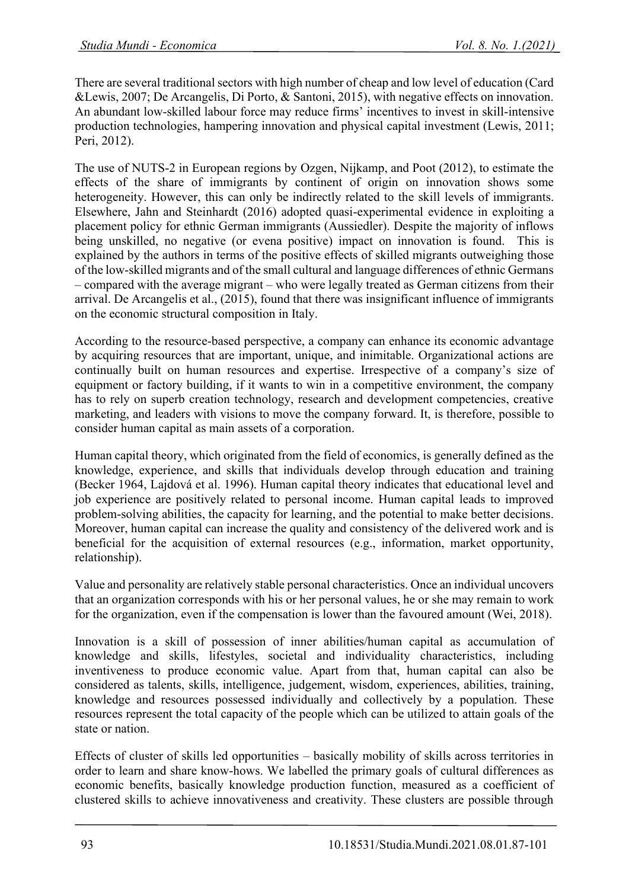There are several traditional sectors with high number of cheap and low level of education (Card &Lewis, 2007; De Arcangelis, Di Porto, & Santoni, 2015), with negative effects on innovation. An abundant low-skilled labour force may reduce firms' incentives to invest in skill-intensive production technologies, hampering innovation and physical capital investment (Lewis, 2011; Peri, 2012).

The use of NUTS-2 in European regions by Ozgen, Nijkamp, and Poot (2012), to estimate the effects of the share of immigrants by continent of origin on innovation shows some heterogeneity. However, this can only be indirectly related to the skill levels of immigrants. Elsewhere, Jahn and Steinhardt (2016) adopted quasi-experimental evidence in exploiting a placement policy for ethnic German immigrants (Aussiedler). Despite the majority of inflows being unskilled, no negative (or evena positive) impact on innovation is found. This is explained by the authors in terms of the positive effects of skilled migrants outweighing those of the low-skilled migrants and of the small cultural and language differences of ethnic Germans - compared with the average migrant - who were legally treated as German citizens from their arrival. De Arcangelis et al., (2015), found that there was insignificant influence of immigrants on the economic structural composition in Italy.

According to the resource-based perspective, a company can enhance its economic advantage by acquiring resources that are important, unique, and inimitable. Organizational actions are continually built on human resources and expertise. Irrespective of a company's size of equipment or factory building, if it wants to win in a competitive environment, the company has to rely on superb creation technology, research and development competencies, creative marketing, and leaders with visions to move the company forward. It, is therefore, possible to consider human capital as main assets of a corporation.

Human capital theory, which originated from the field of economics, is generally defined as the knowledge, experience, and skills that individuals develop through education and training (Becker 1964, Lajdová et al. 1996). Human capital theory indicates that educational level and job experience are positively related to personal income. Human capital leads to improved problem-solving abilities, the capacity for learning, and the potential to make better decisions. Moreover, human capital can increase the quality and consistency of the delivered work and is beneficial for the acquisition of external resources (e.g., information, market opportunity, relationship).

Value and personality are relatively stable personal characteristics. Once an individual uncovers that an organization corresponds with his or her personal values, he or she may remain to work for the organization, even if the compensation is lower than the favoured amount (Wei, 2018).

Innovation is a skill of possession of inner abilities/human capital as accumulation of knowledge and skills, lifestyles, societal and individuality characteristics, including inventiveness to produce economic value. Apart from that, human capital can also be considered as talents, skills, intelligence, judgement, wisdom, experiences, abilities, training, knowledge and resources possessed individually and collectively by a population. These resources represent the total capacity of the people which can be utilized to attain goals of the state or nation.

Effects of cluster of skills led opportunities – basically mobility of skills across territories in order to learn and share know-hows. We labelled the primary goals of cultural differences as economic benefits, basically knowledge production function, measured as a coefficient of clustered skills to achieve innovativeness and creativity. These clusters are possible through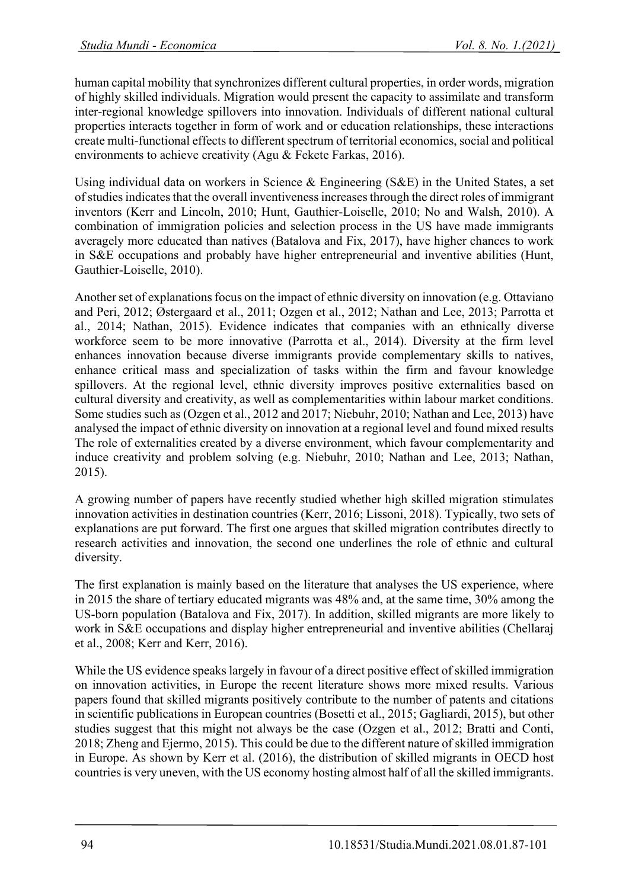human capital mobility that synchronizes different cultural properties, in order words, migration of highly skilled individuals. Migration would present the capacity to assimilate and transform inter-regional knowledge spillovers into innovation. Individuals of different national cultural properties interacts together in form of work and or education relationships, these interactions create multi-functional effects to different spectrum of territorial economics, social and political environments to achieve creativity (Agu & Fekete Farkas, 2016).

Using individual data on workers in Science & Engineering (S&E) in the United States, a set of studies indicates that the overall inventiveness increases through the direct roles of immigrant inventors (Kerr and Lincoln, 2010; Hunt, Gauthier-Loiselle, 2010; No and Walsh, 2010). A combination of immigration policies and selection process in the US have made immigrants averagely more educated than natives (Batalova and Fix, 2017), have higher chances to work in S&E occupations and probably have higher entrepreneurial and inventive abilities (Hunt, Gauthier-Loiselle, 2010).

Another set of explanations focus on the impact of ethnic diversity on innovation (e.g. Ottaviano and Peri, 2012; Østergaard et al., 2011; Ozgen et al., 2012; Nathan and Lee, 2013; Parrotta et al., 2014; Nathan, 2015). Evidence indicates that companies with an ethnically diverse workforce seem to be more innovative (Parrotta et al., 2014). Diversity at the firm level enhances innovation because diverse immigrants provide complementary skills to natives, enhance critical mass and specialization of tasks within the firm and favour knowledge spillovers. At the regional level, ethnic diversity improves positive externalities based on cultural diversity and creativity, as well as complementarities within labour market conditions. Some studies such as (Ozgen et al., 2012 and 2017; Niebuhr, 2010; Nathan and Lee, 2013) have analysed the impact of ethnic diversity on innovation at a regional level and found mixed results The role of externalities created by a diverse environment, which favour complementarity and induce creativity and problem solving (e.g. Niebuhr, 2010; Nathan and Lee, 2013; Nathan, 2015).

A growing number of papers have recently studied whether high skilled migration stimulates innovation activities in destination countries (Kerr, 2016; Lissoni, 2018). Typically, two sets of explanations are put forward. The first one argues that skilled migration contributes directly to research activities and innovation, the second one underlines the role of ethnic and cultural diversity.

The first explanation is mainly based on the literature that analyses the US experience, where in 2015 the share of tertiary educated migrants was 48% and, at the same time, 30% among the US-born population (Batalova and Fix, 2017). In addition, skilled migrants are more likely to work in S&E occupations and display higher entrepreneurial and inventive abilities (Chellaraj et al., 2008; Kerr and Kerr, 2016).

While the US evidence speaks largely in favour of a direct positive effect of skilled immigration on innovation activities, in Europe the recent literature shows more mixed results. Various papers found that skilled migrants positively contribute to the number of patents and citations in scientific publications in European countries (Bosetti et al., 2015; Gagliardi, 2015), but other studies suggest that this might not always be the case (Ozgen et al., 2012; Bratti and Conti, 2018; Zheng and Ejermo, 2015). This could be due to the different nature of skilled immigration in Europe. As shown by Kerr et al. (2016), the distribution of skilled migrants in OECD host countries is very uneven, with the US economy hosting almost half of all the skilled immigrants.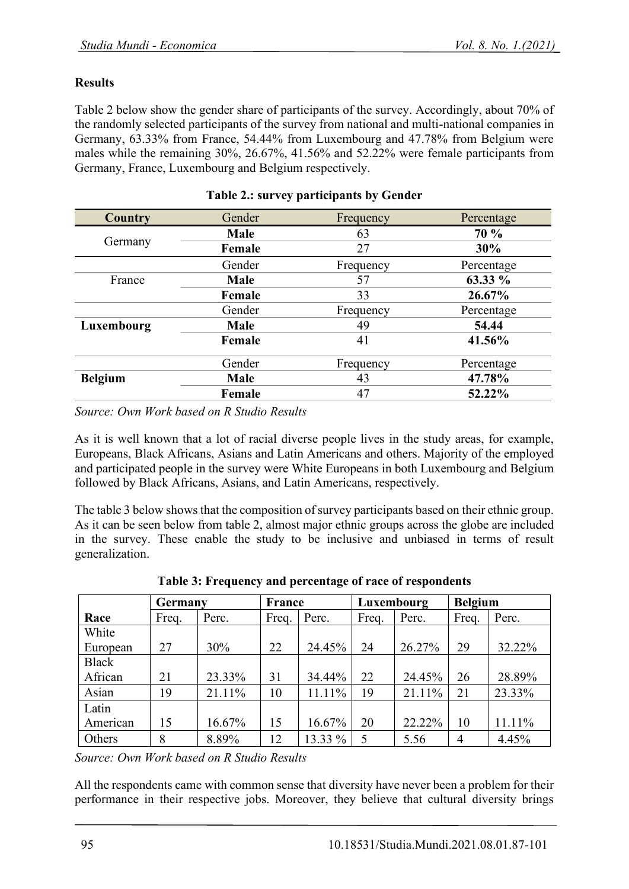# **Results**

Table 2 below show the gender share of participants of the survey. Accordingly, about 70% of the randomly selected participants of the survey from national and multi-national companies in Germany, 63.33% from France, 54.44% from Luxembourg and 47.78% from Belgium were males while the remaining 30%, 26.67%, 41.56% and 52.22% were female participants from Germany, France, Luxembourg and Belgium respectively.

| <b>Country</b> | Gender      | Frequency | Percentage |  |
|----------------|-------------|-----------|------------|--|
| Germany        | <b>Male</b> | 63        | 70 %       |  |
|                | Female      | 27        | 30%        |  |
|                | Gender      | Frequency | Percentage |  |
| France         | <b>Male</b> | 57        | 63.33 %    |  |
|                | Female      | 33        | 26.67%     |  |
|                | Gender      | Frequency | Percentage |  |
| Luxembourg     | <b>Male</b> | 49        | 54.44      |  |
|                | Female      | 41        | 41.56%     |  |
|                | Gender      | Frequency | Percentage |  |
| <b>Belgium</b> | Male        | 43        | 47.78%     |  |
|                | Female      | 47        | 52.22%     |  |

#### **Table 2.: survey participants by Gender**

*Source: Own Work based on R Studio Results*

As it is well known that a lot of racial diverse people lives in the study areas, for example, Europeans, Black Africans, Asians and Latin Americans and others. Majority of the employed and participated people in the survey were White Europeans in both Luxembourg and Belgium followed by Black Africans, Asians, and Latin Americans, respectively.

The table 3 below shows that the composition of survey participants based on their ethnic group. As it can be seen below from table 2, almost major ethnic groups across the globe are included in the survey. These enable the study to be inclusive and unbiased in terms of result generalization.

|              | Germany |        | <b>France</b> |         | Luxembourg |        | <b>Belgium</b> |        |
|--------------|---------|--------|---------------|---------|------------|--------|----------------|--------|
| Race         | Freq.   | Perc.  | Freq.         | Perc.   | Freq.      | Perc.  | Freq.          | Perc.  |
| White        |         |        |               |         |            |        |                |        |
| European     | 27      | 30%    | 22            | 24.45%  | 24         | 26.27% | 29             | 32.22% |
| <b>Black</b> |         |        |               |         |            |        |                |        |
| African      | 21      | 23.33% | 31            | 34.44%  | 22         | 24.45% | 26             | 28.89% |
| Asian        | 19      | 21.11% | 10            | 11.11%  | 19         | 21.11% | 21             | 23.33% |
| Latin        |         |        |               |         |            |        |                |        |
| American     | 15      | 16.67% | 15            | 16.67%  | 20         | 22.22% | 10             | 11.11% |
| Others       | 8       | 8.89%  | 12            | 13.33 % | 5          | 5.56   | 4              | 4.45%  |

**Table 3: Frequency and percentage of race of respondents**

*Source: Own Work based on R Studio Results*

All the respondents came with common sense that diversity have never been a problem for their performance in their respective jobs. Moreover, they believe that cultural diversity brings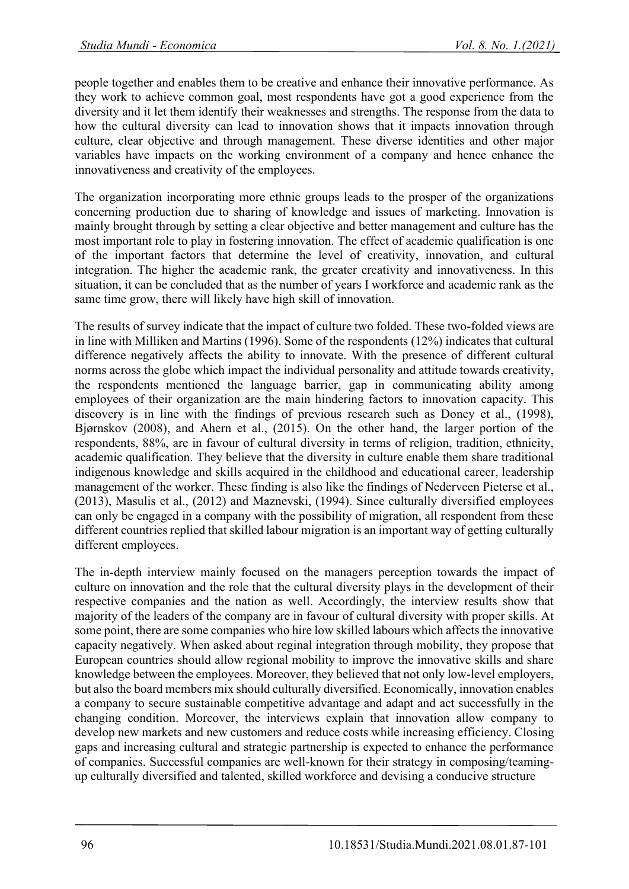people together and enables them to be creative and enhance their innovative performance. As they work to achieve common goal, most respondents have got a good experience from the diversity and it let them identify their weaknesses and strengths. The response from the data to how the cultural diversity can lead to innovation shows that it impacts innovation through culture, clear objective and through management. These diverse identities and other major variables have impacts on the working environment of a company and hence enhance the innovativeness and creativity of the employees.

The organization incorporating more ethnic groups leads to the prosper of the organizations concerning production due to sharing of knowledge and issues of marketing. Innovation is mainly brought through by setting a clear objective and better management and culture has the most important role to play in fostering innovation. The effect of academic qualification is one of the important factors that determine the level of creativity, innovation, and cultural integration. The higher the academic rank, the greater creativity and innovativeness. In this situation, it can be concluded that as the number of years I workforce and academic rank as the same time grow, there will likely have high skill of innovation.

The results of survey indicate that the impact of culture two folded. These two-folded views are in line with Milliken and Martins (1996). Some of the respondents (12%) indicates that cultural difference negatively affects the ability to innovate. With the presence of different cultural norms across the globe which impact the individual personality and attitude towards creativity, the respondents mentioned the language barrier, gap in communicating ability among employees of their organization are the main hindering factors to innovation capacity. This discovery is in line with the findings of previous research such as Doney et al., (1998), Bjørnskov (2008), and Ahern et al., (2015). On the other hand, the larger portion of the respondents, 88%, are in favour of cultural diversity in terms of religion, tradition, ethnicity, academic qualification. They believe that the diversity in culture enable them share traditional indigenous knowledge and skills acquired in the childhood and educational career, leadership management of the worker. These finding is also like the findings of Nederveen Pieterse et al., (2013), Masulis et al., (2012) and Maznevski, (1994). Since culturally diversified employees can only be engaged in a company with the possibility of migration, all respondent from these different countries replied that skilled labour migration is an important way of getting culturally different employees.

The in-depth interview mainly focused on the managers perception towards the impact of culture on innovation and the role that the cultural diversity plays in the development of their respective companies and the nation as well. Accordingly, the interview results show that majority of the leaders of the company are in favour of cultural diversity with proper skills. At some point, there are some companies who hire low skilled labours which affects the innovative capacity negatively. When asked about reginal integration through mobility, they propose that European countries should allow regional mobility to improve the innovative skills and share knowledge between the employees. Moreover, they believed that not only low-level employers, but also the board members mix should culturally diversified. Economically, innovation enables a company to secure sustainable competitive advantage and adapt and act successfully in the changing condition. Moreover, the interviews explain that innovation allow company to develop new markets and new customers and reduce costs while increasing efficiency. Closing gaps and increasing cultural and strategic partnership is expected to enhance the performance of companies. Successful companies are well-known for their strategy in composing/teamingup culturally diversified and talented, skilled workforce and devising a conducive structure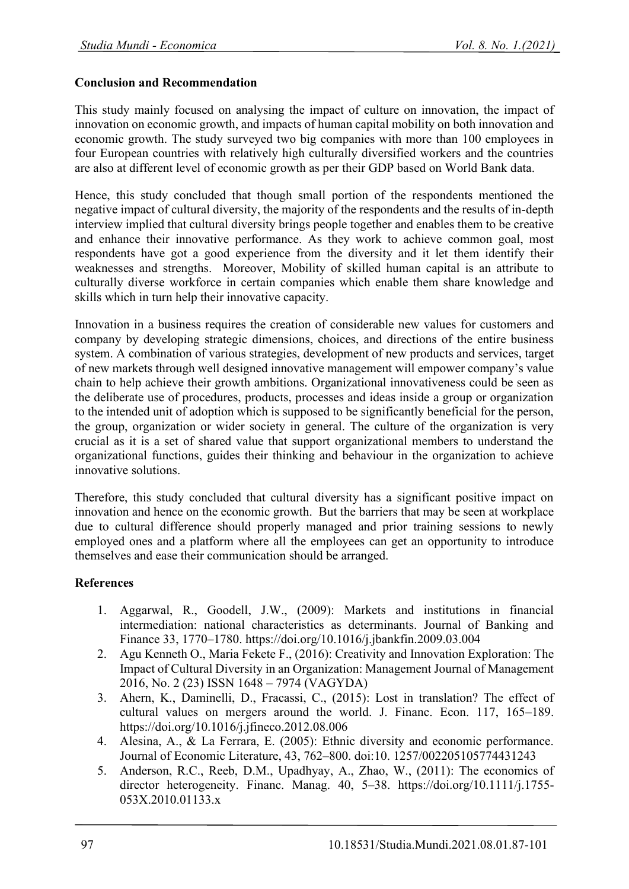# **Conclusion and Recommendation**

This study mainly focused on analysing the impact of culture on innovation, the impact of innovation on economic growth, and impacts of human capital mobility on both innovation and economic growth. The study surveyed two big companies with more than 100 employees in four European countries with relatively high culturally diversified workers and the countries are also at different level of economic growth as per their GDP based on World Bank data.

Hence, this study concluded that though small portion of the respondents mentioned the negative impact of cultural diversity, the majority of the respondents and the results of in-depth interview implied that cultural diversity brings people together and enables them to be creative and enhance their innovative performance. As they work to achieve common goal, most respondents have got a good experience from the diversity and it let them identify their weaknesses and strengths. Moreover, Mobility of skilled human capital is an attribute to culturally diverse workforce in certain companies which enable them share knowledge and skills which in turn help their innovative capacity.

Innovation in a business requires the creation of considerable new values for customers and company by developing strategic dimensions, choices, and directions of the entire business system. A combination of various strategies, development of new products and services, target of new markets through well designed innovative management will empower company's value chain to help achieve their growth ambitions. Organizational innovativeness could be seen as the deliberate use of procedures, products, processes and ideas inside a group or organization to the intended unit of adoption which is supposed to be significantly beneficial for the person, the group, organization or wider society in general. The culture of the organization is very crucial as it is a set of shared value that support organizational members to understand the organizational functions, guides their thinking and behaviour in the organization to achieve innovative solutions.

Therefore, this study concluded that cultural diversity has a significant positive impact on innovation and hence on the economic growth. But the barriers that may be seen at workplace due to cultural difference should properly managed and prior training sessions to newly employed ones and a platform where all the employees can get an opportunity to introduce themselves and ease their communication should be arranged.

# **References**

- 1. Aggarwal, R., Goodell, J.W., (2009): Markets and institutions in financial intermediation: national characteristics as determinants. Journal of Banking and Finance 33, 1770–1780. https://doi.org/10.1016/j.jbankfin.2009.03.004
- 2. Agu Kenneth O., Maria Fekete F., (2016): Creativity and Innovation Exploration: The Impact of Cultural Diversity in an Organization: Management Journal of Management 2016, No. 2 (23) ISSN 1648 – 7974 (VAGYDA)
- 3. Ahern, K., Daminelli, D., Fracassi, C., (2015): Lost in translation? The effect of cultural values on mergers around the world. J. Financ. Econ. 117, 165–189. https://doi.org/10.1016/j.jfineco.2012.08.006
- 4. Alesina, A., & La Ferrara, E. (2005): Ethnic diversity and economic performance. Journal of Economic Literature, 43, 762–800. doi:10. 1257/002205105774431243
- 5. Anderson, R.C., Reeb, D.M., Upadhyay, A., Zhao, W., (2011): The economics of director heterogeneity. Financ. Manag. 40, 5–38. https://doi.org/10.1111/j.1755-053X.2010.01133.x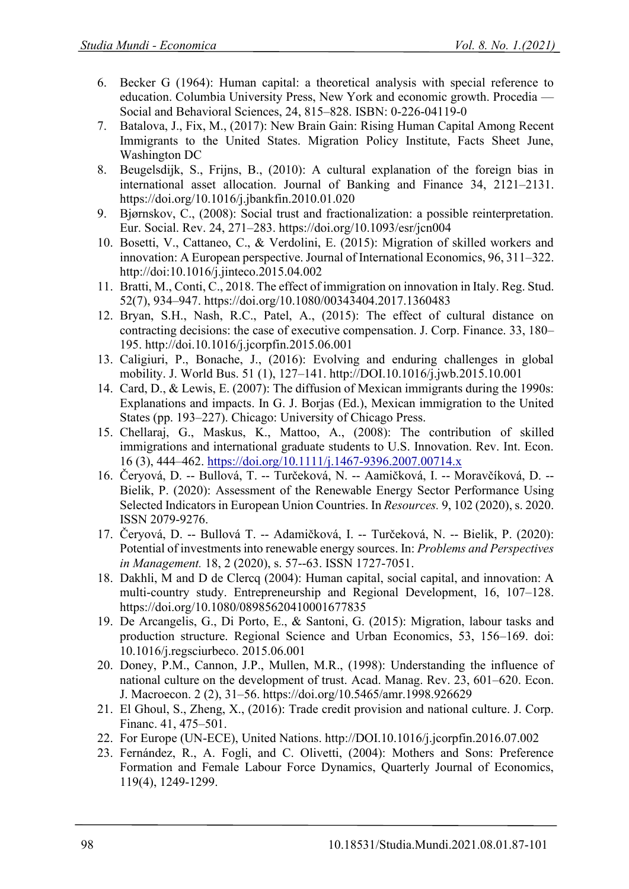- 6. Becker G (1964): Human capital: a theoretical analysis with special reference to education. Columbia University Press, New York and economic growth. Procedia — Social and Behavioral Sciences, 24, 815–828. ISBN: 0-226-04119-0
- 7. Batalova, J., Fix, M., (2017): New Brain Gain: Rising Human Capital Among Recent Immigrants to the United States. Migration Policy Institute, Facts Sheet June, Washington DC
- 8. Beugelsdijk, S., Frijns, B., (2010): A cultural explanation of the foreign bias in international asset allocation. Journal of Banking and Finance 34, 2121–2131. https://doi.org/10.1016/j.jbankfin.2010.01.020
- 9. Bjørnskov, C., (2008): Social trust and fractionalization: a possible reinterpretation. Eur. Social. Rev. 24, 271–283. https://doi.org/10.1093/esr/jcn004
- 10. Bosetti, V., Cattaneo, C., & Verdolini, E. (2015): Migration of skilled workers and innovation: A European perspective. Journal of International Economics, 96, 311–322. http://doi:10.1016/j.jinteco.2015.04.002
- 11. Bratti, M., Conti, C., 2018. The effect of immigration on innovation in Italy. Reg. Stud. 52(7), 934–947. https://doi.org/10.1080/00343404.2017.1360483
- 12. Bryan, S.H., Nash, R.C., Patel, A., (2015): The effect of cultural distance on contracting decisions: the case of executive compensation. J. Corp. Finance. 33, 180– 195. http://doi.10.1016/j.jcorpfin.2015.06.001
- 13. Caligiuri, P., Bonache, J., (2016): Evolving and enduring challenges in global mobility. J. World Bus. 51 (1), 127–141. http://DOI.10.1016/j.jwb.2015.10.001
- 14. Card, D., & Lewis, E. (2007): The diffusion of Mexican immigrants during the 1990s: Explanations and impacts. In G. J. Borjas (Ed.), Mexican immigration to the United States (pp. 193–227). Chicago: University of Chicago Press.
- 15. Chellaraj, G., Maskus, K., Mattoo, A., (2008): The contribution of skilled immigrations and international graduate students to U.S. Innovation. Rev. Int. Econ. 16 (3), 444–462.<https://doi.org/10.1111/j.1467-9396.2007.00714.x>
- 16. Čeryová, D. -- Bullová, T. -- Turčeková, N. -- Aamičková, I. -- Moravčíková, D. -- Bielik, P. (2020): Assessment of the Renewable Energy Sector Performance Using Selected Indicators in European Union Countries. In *Resources.* 9, 102 (2020), s. 2020. ISSN 2079-9276.
- 17. Čeryová, D. -- Bullová T. -- Adamičková, I. -- Turčeková, N. -- Bielik, P. (2020): Potential of investments into renewable energy sources. In: *Problems and Perspectives in Management.* 18, 2 (2020), s. 57--63. ISSN 1727-7051.
- 18. Dakhli, M and D de Clercq (2004): Human capital, social capital, and innovation: A multi-country study. Entrepreneurship and Regional Development, 16, 107–128. https://doi.org/10.1080/08985620410001677835
- 19. De Arcangelis, G., Di Porto, E., & Santoni, G. (2015): Migration, labour tasks and production structure. Regional Science and Urban Economics, 53, 156–169. doi: 10.1016/j.regsciurbeco. 2015.06.001
- 20. Doney, P.M., Cannon, J.P., Mullen, M.R., (1998): Understanding the influence of national culture on the development of trust. Acad. Manag. Rev. 23, 601–620. Econ. J. Macroecon. 2 (2), 31–56. https://doi.org/10.5465/amr.1998.926629
- 21. El Ghoul, S., Zheng, X., (2016): Trade credit provision and national culture. J. Corp. Financ. 41, 475–501.
- 22. For Europe (UN-ECE), United Nations. http://DOI.10.1016/j.jcorpfin.2016.07.002
- 23. Fernández, R., A. Fogli, and C. Olivetti, (2004): Mothers and Sons: Preference Formation and Female Labour Force Dynamics, Quarterly Journal of Economics, 119(4), 1249-1299.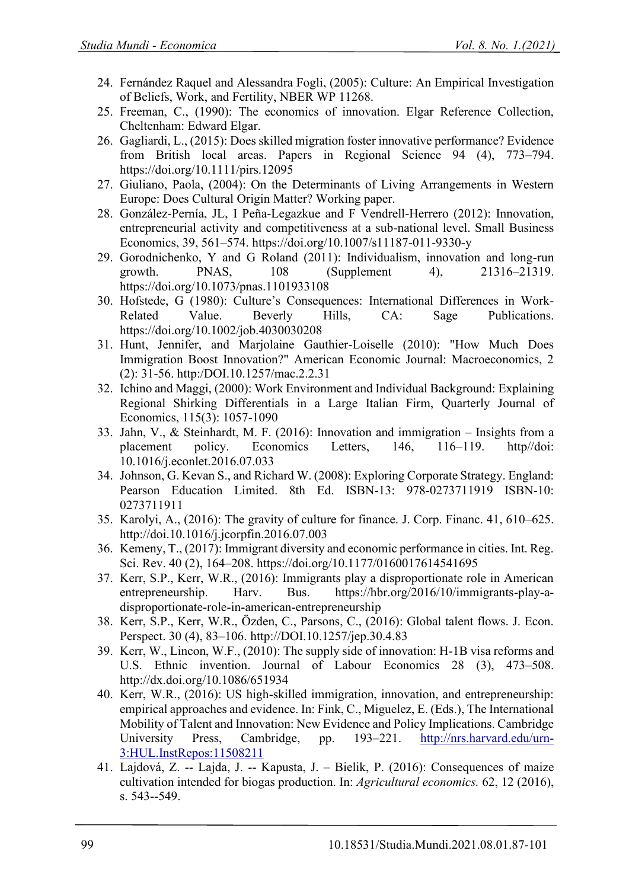- 24. Fernández Raquel and Alessandra Fogli, (2005): Culture: An Empirical Investigation of Beliefs, Work, and Fertility, NBER WP 11268.
- 25. Freeman, C., (1990): The economics of innovation. Elgar Reference Collection, Cheltenham: Edward Elgar.
- 26. Gagliardi, L., (2015): Does skilled migration foster innovative performance? Evidence from British local areas. Papers in Regional Science 94 (4), 773–794. https://doi.org/10.1111/pirs.12095
- 27. Giuliano, Paola, (2004): On the Determinants of Living Arrangements in Western Europe: Does Cultural Origin Matter? Working paper.
- 28. González-Pernía, JL, I Peña-Legazkue and F Vendrell-Herrero (2012): Innovation, entrepreneurial activity and competitiveness at a sub-national level. Small Business Economics, 39, 561–574. https://doi.org/10.1007/s11187-011-9330-y
- 29. Gorodnichenko, Y and G Roland (2011): Individualism, innovation and long-run growth. PNAS, 108 (Supplement 4), 21316–21319. https://doi.org/10.1073/pnas.1101933108
- 30. Hofstede, G (1980): Culture's Consequences: International Differences in Work-Related Value. Beverly Hills, CA: Sage Publications. https://doi.org/10.1002/job.4030030208
- 31. Hunt, Jennifer, and Marjolaine Gauthier-Loiselle (2010): "How Much Does Immigration Boost Innovation?" American Economic Journal: Macroeconomics, 2 (2): 31-56. http:/DOI.10.1257/mac.2.2.31
- 32. Ichino and Maggi, (2000): Work Environment and Individual Background: Explaining Regional Shirking Differentials in a Large Italian Firm, Quarterly Journal of Economics, 115(3): 1057-1090
- 33. Jahn, V., & Steinhardt, M. F. (2016): Innovation and immigration Insights from a placement policy. Economics Letters, 146, 116–119. http//doi: 10.1016/j.econlet.2016.07.033
- 34. Johnson, G. Kevan S., and Richard W. (2008): Exploring Corporate Strategy. England: Pearson Education Limited. 8th Ed. ISBN-13: 978-0273711919 ISBN-10: 0273711911
- 35. Karolyi, A., (2016): The gravity of culture for finance. J. Corp. Financ. 41, 610–625. http://doi.10.1016/j.jcorpfin.2016.07.003
- 36. Kemeny, T., (2017): Immigrant diversity and economic performance in cities. Int. Reg. Sci. Rev. 40 (2), 164–208. https://doi.org/10.1177/0160017614541695
- 37. Kerr, S.P., Kerr, W.R., (2016): Immigrants play a disproportionate role in American entrepreneurship. Harv. Bus. https://hbr.org/2016/10/immigrants-play-adisproportionate-role-in-american-entrepreneurship
- 38. Kerr, S.P., Kerr, W.R., Özden, C., Parsons, C., (2016): Global talent flows. J. Econ. Perspect. 30 (4), 83–106. http://DOI.10.1257/jep.30.4.83
- 39. Kerr, W., Lincon, W.F., (2010): The supply side of innovation: H-1B visa reforms and U.S. Ethnic invention. Journal of Labour Economics 28 (3), 473–508. http://dx.doi.org/10.1086/651934
- 40. Kerr, W.R., (2016): US high-skilled immigration, innovation, and entrepreneurship: empirical approaches and evidence. In: Fink, C., Miguelez, E. (Eds.), The International Mobility of Talent and Innovation: New Evidence and Policy Implications. Cambridge University Press, Cambridge, pp. 193–221. [http://nrs.harvard.edu/urn-](http://nrs.harvard.edu/urn-3:HUL.InstRepos:11508211)[3:HUL.InstRepos:11508211](http://nrs.harvard.edu/urn-3:HUL.InstRepos:11508211)
- 41. Lajdová, Z. -- Lajda, J. -- Kapusta, J. Bielik, P. (2016): Consequences of maize cultivation intended for biogas production. In: *Agricultural economics.* 62, 12 (2016), s. 543--549.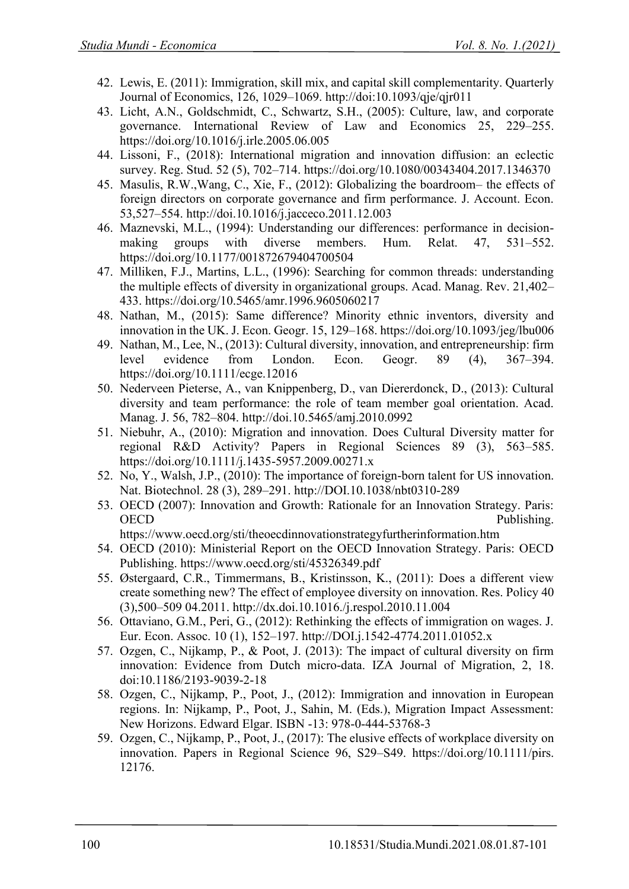- 42. Lewis, E. (2011): Immigration, skill mix, and capital skill complementarity. Quarterly Journal of Economics, 126, 1029–1069. http://doi:10.1093/qje/qjr011
- 43. Licht, A.N., Goldschmidt, C., Schwartz, S.H., (2005): Culture, law, and corporate governance. International Review of Law and Economics 25, 229–255. https://doi.org/10.1016/j.irle.2005.06.005
- 44. Lissoni, F., (2018): International migration and innovation diffusion: an eclectic survey. Reg. Stud. 52 (5), 702–714. https://doi.org/10.1080/00343404.2017.1346370
- 45. Masulis, R.W.,Wang, C., Xie, F., (2012): Globalizing the boardroom– the effects of foreign directors on corporate governance and firm performance. J. Account. Econ. 53,527–554. http://doi.10.1016/j.jacceco.2011.12.003
- 46. Maznevski, M.L., (1994): Understanding our differences: performance in decisionmaking groups with diverse members. Hum. Relat. 47, 531–552. https://doi.org/10.1177/001872679404700504
- 47. Milliken, F.J., Martins, L.L., (1996): Searching for common threads: understanding the multiple effects of diversity in organizational groups. Acad. Manag. Rev. 21,402– 433. https://doi.org/10.5465/amr.1996.9605060217
- 48. Nathan, M., (2015): Same difference? Minority ethnic inventors, diversity and innovation in the UK. J. Econ. Geogr. 15, 129–168. https://doi.org/10.1093/jeg/lbu006
- 49. Nathan, M., Lee, N., (2013): Cultural diversity, innovation, and entrepreneurship: firm level evidence from London. Econ. Geogr. 89 (4), 367–394. https://doi.org/10.1111/ecge.12016
- 50. Nederveen Pieterse, A., van Knippenberg, D., van Diererdonck, D., (2013): Cultural diversity and team performance: the role of team member goal orientation. Acad. Manag. J. 56, 782–804. http://doi.10.5465/amj.2010.0992
- 51. Niebuhr, A., (2010): Migration and innovation. Does Cultural Diversity matter for regional R&D Activity? Papers in Regional Sciences 89 (3), 563–585. https://doi.org/10.1111/j.1435-5957.2009.00271.x
- 52. No, Y., Walsh, J.P., (2010): The importance of foreign-born talent for US innovation. Nat. Biotechnol. 28 (3), 289–291. http://DOI.10.1038/nbt0310-289
- 53. OECD (2007): Innovation and Growth: Rationale for an Innovation Strategy. Paris: OECD Publishing. https://www.oecd.org/sti/theoecdinnovationstrategyfurtherinformation.htm
- 54. OECD (2010): Ministerial Report on the OECD Innovation Strategy. Paris: OECD Publishing. https://www.oecd.org/sti/45326349.pdf
- 55. Østergaard, C.R., Timmermans, B., Kristinsson, K., (2011): Does a different view create something new? The effect of employee diversity on innovation. Res. Policy 40 (3),500–509 04.2011. http://dx.doi.10.1016./j.respol.2010.11.004
- 56. Ottaviano, G.M., Peri, G., (2012): Rethinking the effects of immigration on wages. J. Eur. Econ. Assoc. 10 (1), 152–197. http://DOI.j.1542-4774.2011.01052.x
- 57. Ozgen, C., Nijkamp, P., & Poot, J. (2013): The impact of cultural diversity on firm innovation: Evidence from Dutch micro-data. IZA Journal of Migration, 2, 18. doi:10.1186/2193-9039-2-18
- 58. Ozgen, C., Nijkamp, P., Poot, J., (2012): Immigration and innovation in European regions. In: Nijkamp, P., Poot, J., Sahin, M. (Eds.), Migration Impact Assessment: New Horizons. Edward Elgar. ISBN -13: 978-0-444-53768-3
- 59. Ozgen, C., Nijkamp, P., Poot, J., (2017): The elusive effects of workplace diversity on innovation. Papers in Regional Science 96, S29–S49. https://doi.org/10.1111/pirs. 12176.